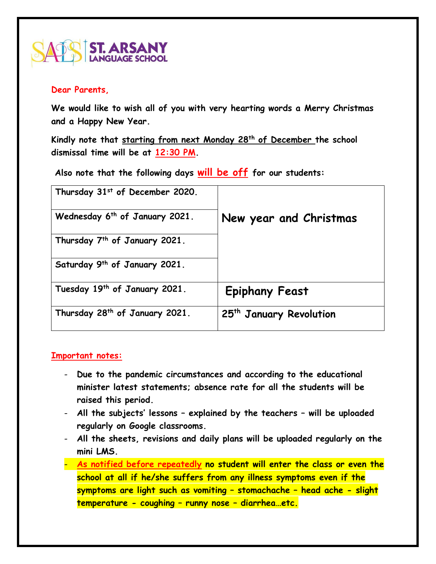

## **Dear Parents,**

**We would like to wish all of you with very hearting words a Merry Christmas and a Happy New Year.** 

**Kindly note that starting from next Monday 28th of December the school dismissal time will be at 12:30 PM.**

**Also note that the following days will be off for our students:**

| Thursday 31st of December 2020.            |                                     |
|--------------------------------------------|-------------------------------------|
| Wednesday 6 <sup>th</sup> of January 2021. | New year and Christmas              |
| Thursday 7 <sup>th</sup> of January 2021.  |                                     |
| Saturday 9th of January 2021.              |                                     |
| Tuesday 19th of January 2021.              | <b>Epiphany Feast</b>               |
| Thursday 28 <sup>th</sup> of January 2021. | 25 <sup>th</sup> January Revolution |

## **Important notes:**

- **Due to the pandemic circumstances and according to the educational minister latest statements; absence rate for all the students will be raised this period.**
- **All the subjects' lessons – explained by the teachers – will be uploaded regularly on Google classrooms.**
- **All the sheets, revisions and daily plans will be uploaded regularly on the mini LMS.**
- **As notified before repeatedly no student will enter the class or even the school at all if he/she suffers from any illness symptoms even if the symptoms are light such as vomiting – stomachache – head ache - slight temperature - coughing – runny nose – diarrhea…etc.**